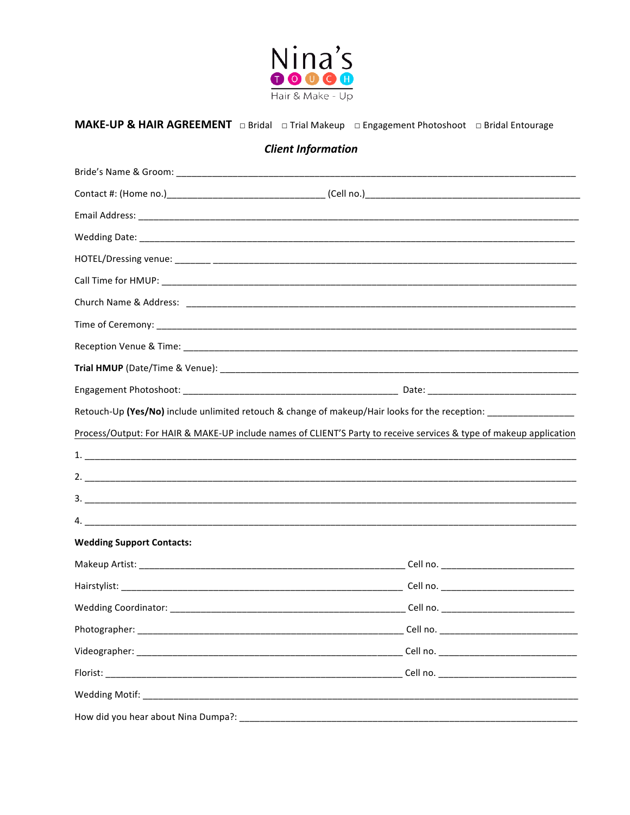

## 

## **Client Information**

|                                     | Retouch-Up (Yes/No) include unlimited retouch & change of makeup/Hair looks for the reception:                      |
|-------------------------------------|---------------------------------------------------------------------------------------------------------------------|
|                                     | Process/Output: For HAIR & MAKE-UP include names of CLIENT'S Party to receive services & type of makeup application |
|                                     |                                                                                                                     |
|                                     |                                                                                                                     |
|                                     |                                                                                                                     |
|                                     |                                                                                                                     |
| <b>Wedding Support Contacts:</b>    |                                                                                                                     |
|                                     |                                                                                                                     |
|                                     |                                                                                                                     |
|                                     |                                                                                                                     |
| Photographer:                       |                                                                                                                     |
|                                     |                                                                                                                     |
|                                     |                                                                                                                     |
|                                     |                                                                                                                     |
| How did you hear about Nina Dumpa?: |                                                                                                                     |